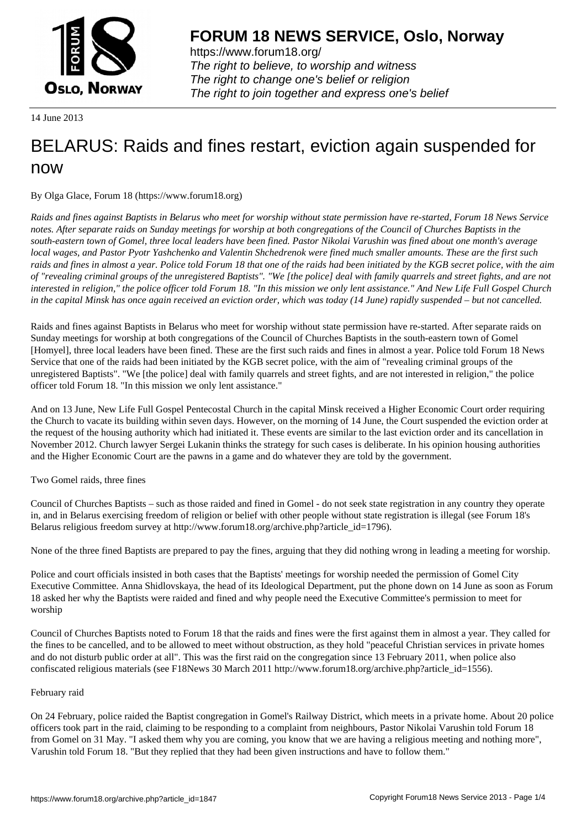

https://www.forum18.org/ The right to believe, to worship and witness The right to change one's belief or religion [The right to join together a](https://www.forum18.org/)nd express one's belief

14 June 2013

## [BELARUS: Raid](https://www.forum18.org)s and fines restart, eviction again suspended for now

By Olga Glace, Forum 18 (https://www.forum18.org)

*Raids and fines against Baptists in Belarus who meet for worship without state permission have re-started, Forum 18 News Service notes. After separate raids on Sunday meetings for worship at both congregations of the Council of Churches Baptists in the south-eastern town of Gomel, three local leaders have been fined. Pastor Nikolai Varushin was fined about one month's average local wages, and Pastor Pyotr Yashchenko and Valentin Shchedrenok were fined much smaller amounts. These are the first such raids and fines in almost a year. Police told Forum 18 that one of the raids had been initiated by the KGB secret police, with the aim of "revealing criminal groups of the unregistered Baptists". "We [the police] deal with family quarrels and street fights, and are not interested in religion," the police officer told Forum 18. "In this mission we only lent assistance." And New Life Full Gospel Church in the capital Minsk has once again received an eviction order, which was today (14 June) rapidly suspended – but not cancelled.*

Raids and fines against Baptists in Belarus who meet for worship without state permission have re-started. After separate raids on Sunday meetings for worship at both congregations of the Council of Churches Baptists in the south-eastern town of Gomel [Homyel], three local leaders have been fined. These are the first such raids and fines in almost a year. Police told Forum 18 News Service that one of the raids had been initiated by the KGB secret police, with the aim of "revealing criminal groups of the unregistered Baptists". "We [the police] deal with family quarrels and street fights, and are not interested in religion," the police officer told Forum 18. "In this mission we only lent assistance."

And on 13 June, New Life Full Gospel Pentecostal Church in the capital Minsk received a Higher Economic Court order requiring the Church to vacate its building within seven days. However, on the morning of 14 June, the Court suspended the eviction order at the request of the housing authority which had initiated it. These events are similar to the last eviction order and its cancellation in November 2012. Church lawyer Sergei Lukanin thinks the strategy for such cases is deliberate. In his opinion housing authorities and the Higher Economic Court are the pawns in a game and do whatever they are told by the government.

Two Gomel raids, three fines

Council of Churches Baptists – such as those raided and fined in Gomel - do not seek state registration in any country they operate in, and in Belarus exercising freedom of religion or belief with other people without state registration is illegal (see Forum 18's Belarus religious freedom survey at http://www.forum18.org/archive.php?article\_id=1796).

None of the three fined Baptists are prepared to pay the fines, arguing that they did nothing wrong in leading a meeting for worship.

Police and court officials insisted in both cases that the Baptists' meetings for worship needed the permission of Gomel City Executive Committee. Anna Shidlovskaya, the head of its Ideological Department, put the phone down on 14 June as soon as Forum 18 asked her why the Baptists were raided and fined and why people need the Executive Committee's permission to meet for worship

Council of Churches Baptists noted to Forum 18 that the raids and fines were the first against them in almost a year. They called for the fines to be cancelled, and to be allowed to meet without obstruction, as they hold "peaceful Christian services in private homes and do not disturb public order at all". This was the first raid on the congregation since 13 February 2011, when police also confiscated religious materials (see F18News 30 March 2011 http://www.forum18.org/archive.php?article\_id=1556).

## February raid

On 24 February, police raided the Baptist congregation in Gomel's Railway District, which meets in a private home. About 20 police officers took part in the raid, claiming to be responding to a complaint from neighbours, Pastor Nikolai Varushin told Forum 18 from Gomel on 31 May. "I asked them why you are coming, you know that we are having a religious meeting and nothing more", Varushin told Forum 18. "But they replied that they had been given instructions and have to follow them."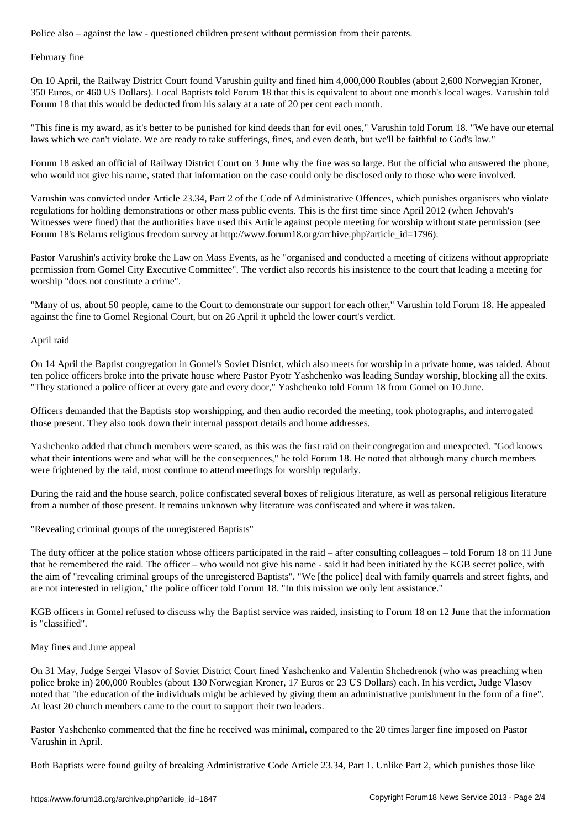February fine

On 10 April, the Railway District Court found Varushin guilty and fined him 4,000,000 Roubles (about 2,600 Norwegian Kroner, 350 Euros, or 460 US Dollars). Local Baptists told Forum 18 that this is equivalent to about one month's local wages. Varushin told Forum 18 that this would be deducted from his salary at a rate of 20 per cent each month.

"This fine is my award, as it's better to be punished for kind deeds than for evil ones," Varushin told Forum 18. "We have our eternal laws which we can't violate. We are ready to take sufferings, fines, and even death, but we'll be faithful to God's law."

Forum 18 asked an official of Railway District Court on 3 June why the fine was so large. But the official who answered the phone, who would not give his name, stated that information on the case could only be disclosed only to those who were involved.

Varushin was convicted under Article 23.34, Part 2 of the Code of Administrative Offences, which punishes organisers who violate regulations for holding demonstrations or other mass public events. This is the first time since April 2012 (when Jehovah's Witnesses were fined) that the authorities have used this Article against people meeting for worship without state permission (see Forum 18's Belarus religious freedom survey at http://www.forum18.org/archive.php?article\_id=1796).

Pastor Varushin's activity broke the Law on Mass Events, as he "organised and conducted a meeting of citizens without appropriate permission from Gomel City Executive Committee". The verdict also records his insistence to the court that leading a meeting for worship "does not constitute a crime".

"Many of us, about 50 people, came to the Court to demonstrate our support for each other," Varushin told Forum 18. He appealed against the fine to Gomel Regional Court, but on 26 April it upheld the lower court's verdict.

April raid

On 14 April the Baptist congregation in Gomel's Soviet District, which also meets for worship in a private home, was raided. About ten police officers broke into the private house where Pastor Pyotr Yashchenko was leading Sunday worship, blocking all the exits. "They stationed a police officer at every gate and every door," Yashchenko told Forum 18 from Gomel on 10 June.

Officers demanded that the Baptists stop worshipping, and then audio recorded the meeting, took photographs, and interrogated those present. They also took down their internal passport details and home addresses.

Yashchenko added that church members were scared, as this was the first raid on their congregation and unexpected. "God knows what their intentions were and what will be the consequences," he told Forum 18. He noted that although many church members were frightened by the raid, most continue to attend meetings for worship regularly.

During the raid and the house search, police confiscated several boxes of religious literature, as well as personal religious literature from a number of those present. It remains unknown why literature was confiscated and where it was taken.

"Revealing criminal groups of the unregistered Baptists"

The duty officer at the police station whose officers participated in the raid – after consulting colleagues – told Forum 18 on 11 June that he remembered the raid. The officer – who would not give his name - said it had been initiated by the KGB secret police, with the aim of "revealing criminal groups of the unregistered Baptists". "We [the police] deal with family quarrels and street fights, and are not interested in religion," the police officer told Forum 18. "In this mission we only lent assistance."

KGB officers in Gomel refused to discuss why the Baptist service was raided, insisting to Forum 18 on 12 June that the information is "classified".

## May fines and June appeal

On 31 May, Judge Sergei Vlasov of Soviet District Court fined Yashchenko and Valentin Shchedrenok (who was preaching when police broke in) 200,000 Roubles (about 130 Norwegian Kroner, 17 Euros or 23 US Dollars) each. In his verdict, Judge Vlasov noted that "the education of the individuals might be achieved by giving them an administrative punishment in the form of a fine". At least 20 church members came to the court to support their two leaders.

Pastor Yashchenko commented that the fine he received was minimal, compared to the 20 times larger fine imposed on Pastor Varushin in April.

Both Baptists were found guilty of breaking Administrative Code Article 23.34, Part 1. Unlike Part 2, which punishes those like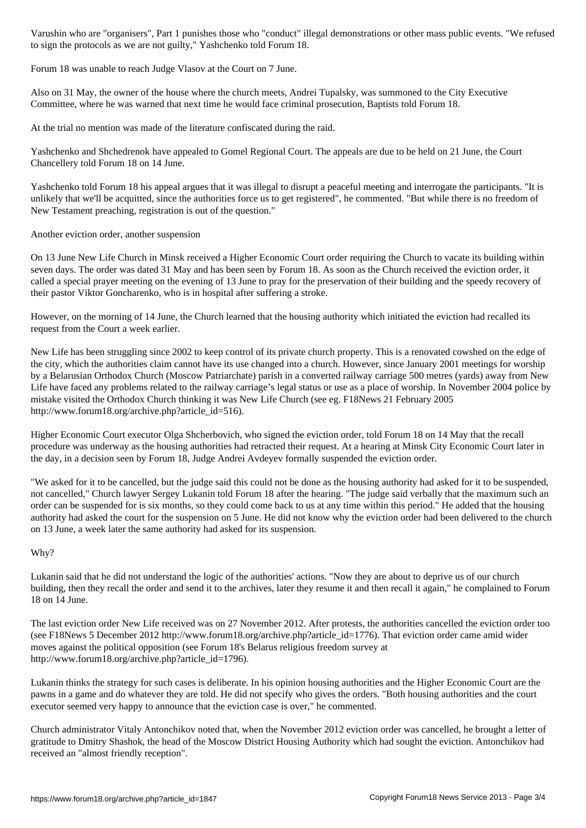to sign the protocols as we are not guilty," Yashchenko told Forum 18.

Forum 18 was unable to reach Judge Vlasov at the Court on 7 June.

Also on 31 May, the owner of the house where the church meets, Andrei Tupalsky, was summoned to the City Executive Committee, where he was warned that next time he would face criminal prosecution, Baptists told Forum 18.

At the trial no mention was made of the literature confiscated during the raid.

Yashchenko and Shchedrenok have appealed to Gomel Regional Court. The appeals are due to be held on 21 June, the Court Chancellery told Forum 18 on 14 June.

Yashchenko told Forum 18 his appeal argues that it was illegal to disrupt a peaceful meeting and interrogate the participants. "It is unlikely that we'll be acquitted, since the authorities force us to get registered", he commented. "But while there is no freedom of New Testament preaching, registration is out of the question."

Another eviction order, another suspension

On 13 June New Life Church in Minsk received a Higher Economic Court order requiring the Church to vacate its building within seven days. The order was dated 31 May and has been seen by Forum 18. As soon as the Church received the eviction order, it called a special prayer meeting on the evening of 13 June to pray for the preservation of their building and the speedy recovery of their pastor Viktor Goncharenko, who is in hospital after suffering a stroke.

However, on the morning of 14 June, the Church learned that the housing authority which initiated the eviction had recalled its request from the Court a week earlier.

New Life has been struggling since 2002 to keep control of its private church property. This is a renovated cowshed on the edge of the city, which the authorities claim cannot have its use changed into a church. However, since January 2001 meetings for worship by a Belarusian Orthodox Church (Moscow Patriarchate) parish in a converted railway carriage 500 metres (yards) away from New Life have faced any problems related to the railway carriage's legal status or use as a place of worship. In November 2004 police by mistake visited the Orthodox Church thinking it was New Life Church (see eg. F18News 21 February 2005 http://www.forum18.org/archive.php?article\_id=516).

Higher Economic Court executor Olga Shcherbovich, who signed the eviction order, told Forum 18 on 14 May that the recall procedure was underway as the housing authorities had retracted their request. At a hearing at Minsk City Economic Court later in the day, in a decision seen by Forum 18, Judge Andrei Avdeyev formally suspended the eviction order.

"We asked for it to be cancelled, but the judge said this could not be done as the housing authority had asked for it to be suspended, not cancelled," Church lawyer Sergey Lukanin told Forum 18 after the hearing. "The judge said verbally that the maximum such an order can be suspended for is six months, so they could come back to us at any time within this period." He added that the housing authority had asked the court for the suspension on 5 June. He did not know why the eviction order had been delivered to the church on 13 June, a week later the same authority had asked for its suspension.

## Why?

Lukanin said that he did not understand the logic of the authorities' actions. "Now they are about to deprive us of our church building, then they recall the order and send it to the archives, later they resume it and then recall it again," he complained to Forum 18 on 14 June.

The last eviction order New Life received was on 27 November 2012. After protests, the authorities cancelled the eviction order too (see F18News 5 December 2012 http://www.forum18.org/archive.php?article\_id=1776). That eviction order came amid wider moves against the political opposition (see Forum 18's Belarus religious freedom survey at http://www.forum18.org/archive.php?article\_id=1796).

Lukanin thinks the strategy for such cases is deliberate. In his opinion housing authorities and the Higher Economic Court are the pawns in a game and do whatever they are told. He did not specify who gives the orders. "Both housing authorities and the court executor seemed very happy to announce that the eviction case is over," he commented.

Church administrator Vitaly Antonchikov noted that, when the November 2012 eviction order was cancelled, he brought a letter of gratitude to Dmitry Shashok, the head of the Moscow District Housing Authority which had sought the eviction. Antonchikov had received an "almost friendly reception".